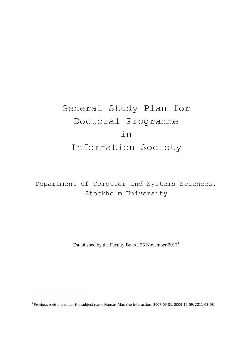# General Study Plan for Doctoral Programme in Information Society

Department of Computer and Systems Sciences, Stockholm University

Established by the Faculty Board, 26 November 2013<sup>1</sup>

**.** 

 $<sup>1</sup>$  Previous revisions under the subject name Human-Machine-Interaction: 2007-05-31, 2009-12-09, 2011-03-08.</sup>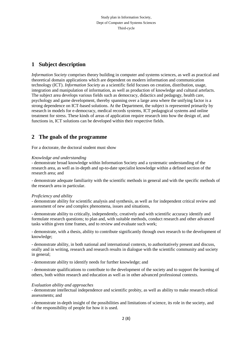## **1 Subject description**

*Information Society* comprises theory building in computer and systems sciences, as well as practical and theoretical domain applications which are dependent on modern information and communication technology (ICT). *Information Society* as a scientific field focuses on creation, distribution, usage, integration and manipulation of information, as well as production of knowledge and cultural artefacts. The subject area develops various fields such as democracy, didactics and pedagogy, health care, psychology and game development, thereby spanning over a large area where the unifying factor is a strong dependence on ICT-based solutions. At the Department, the subject is represented primarily by research in models for e-democracy, medical records systems, ICT pedagogical systems and online treatment for stress. These kinds of areas of application require research into how the design of, and functions in, ICT solutions can be developed within their respective fields.

### **2 The goals of the programme**

For a doctorate, the doctoral student must show

### *Knowledge and understanding*

- demonstrate broad knowledge within Information Society and a systematic understanding of the research area, as well as in-depth and up-to-date specialist knowledge within a defined section of the research area; and

- demonstrate adequate familiarity with the scientific methods in general and with the specific methods of the research area in particular.

### *Proficiency and ability*

- demonstrate ability for scientific analysis and synthesis, as well as for independent critical review and assessment of new and complex phenomena, issues and situations,

- demonstrate ability to critically, independently, creatively and with scientific accuracy identify and formulate research questions; to plan and, with suitable methods, conduct research and other advanced tasks within given time frames, and to review and evaluate such work;

- demonstrate, with a thesis, ability to contribute significantly through own research to the development of knowledge;

- demonstrate ability, in both national and international contexts, to authoritatively present and discuss, orally and in writing, research and research results in dialogue with the scientific community and society in general;

- demonstrate ability to identify needs for further knowledge; and

- demonstrate qualifications to contribute to the development of the society and to support the learning of others, both within research and education as well as in other advanced professional contexts.

#### *Evaluation ability and approaches*

- demonstrate intellectual independence and scientific probity, as well as ability to make research ethical assessments; and

- demonstrate in-depth insight of the possibilities and limitations of science, its role in the society, and of the responsibility of people for how it is used.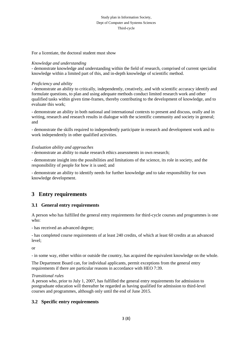#### Study plan in Information Society, Dept of Computer and Systems Sciences Third-cycle

For a licentiate, the doctoral student must show

#### *Knowledge and understanding*

- demonstrate knowledge and understanding within the field of research, comprised of current specialist knowledge within a limited part of this, and in-depth knowledge of scientific method.

#### *Proficiency and ability*

- demonstrate an ability to critically, independently, creatively, and with scientific accuracy identify and formulate questions, to plan and using adequate methods conduct limited research work and other qualified tasks within given time-frames, thereby contributing to the development of knowledge, and to evaluate this work;

- demonstrate an ability in both national and international contexts to present and discuss, orally and in writing, research and research results in dialogue with the scientific community and society in general; and

- demonstrate the skills required to independently participate in research and development work and to work independently in other qualified activities.

#### *Evaluation ability and approaches*

- demonstrate an ability to make research ethics assessments in own research;

- demonstrate insight into the possibilities and limitations of the science, its role in society, and the responsibility of people for how it is used; and

- demonstrate an ability to identify needs for further knowledge and to take responsibility for own knowledge development.

### **3 Entry requirements**

### **3.1 General entry requirements**

A person who has fulfilled the general entry requirements for third-cycle courses and programmes is one who:

- has received an advanced degree;

- has completed course requirements of at least 240 credits, of which at least 60 credits at an advanced level;

or

- in some way, either within or outside the country, has acquired the equivalent knowledge on the whole.

The Department Board can, for individual applicants, permit exceptions from the general entry requirements if there are particular reasons in accordance with HEO 7:39.

#### *Transitional rules*

A person who, prior to July 1, 2007, has fulfilled the general entry requirements for admission to postgraduate education will thereafter be regarded as having qualified for admission to third-level courses and programmes, although only until the end of June 2015.

### **3.2 Specific entry requirements**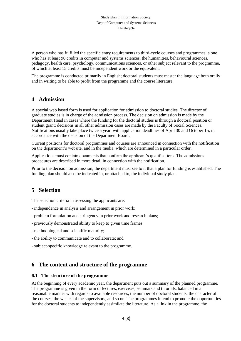A person who has fulfilled the specific entry requirements to third-cycle courses and programmes is one who has at least 90 credits in computer and systems sciences, the humanities, behavioural sciences, pedagogy, health care, psychology, communications sciences, or other subject relevant to the programme, of which at least 15 credits must be independent work or the equivalent.

The programme is conducted primarily in English; doctoral students must master the language both orally and in writing to be able to profit from the programme and the course literature.

### **4 Admission**

A special web based form is used for application for admission to doctoral studies. The director of graduate studies is in charge of the admission process. The decision on admission is made by the Department Head in cases where the funding for the doctoral studies is through a doctoral position or student grant; decisions in all other admission cases are made by the Faculty of Social Sciences. Notifications usually take place twice a year, with application deadlines of April 30 and October 15, in accordance with the decision of the Department Board.

Current positions for doctoral programmes and courses are announced in connection with the notification on the department's website, and in the media, which are determined in a particular order.

Applications must contain documents that confirm the applicant's qualifications. The admissions procedures are described in more detail in connection with the notification.

Prior to the decision on admission, the department must see to it that a plan for funding is established. The funding plan should also be indicated in, or attached to, the individual study plan.

# **5 Selection**

The selection criteria in assessing the applicants are:

- independence in analysis and arrangement in prior work;
- problem formulation and stringency in prior work and research plans;
- previously demonstrated ability to keep to given time frames;
- methodological and scientific maturity;
- the ability to communicate and to collaborate; and
- subject-specific knowledge relevant to the programme.

### **6 The content and structure of the programme**

### **6.1 The structure of the programme**

At the beginning of every academic year, the department puts out a summary of the planned programme. The programme is given in the form of lectures, exercises, seminars and tutorials, balanced in a reasonable manner with regards to available resources, the number of doctoral students, the character of the courses, the wishes of the supervisors, and so on. The programmes intend to promote the opportunities for the doctoral students to independently assimilate the literature. As a link in the programme, the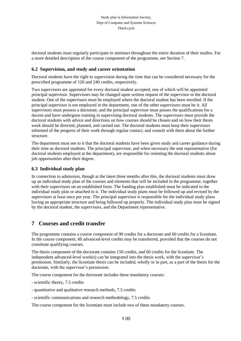doctoral students must regularly participate in seminars throughout the entire duration of their studies. For a more detailed description of the course component of the programme, see Section 7.

### **6.2 Supervision, and study and career orientation**

Doctoral students have the right to supervision during the time that can be considered necessary for the prescribed programme of 120 and 240 credits, respectively.

Two supervisors are appointed for every doctoral student accepted, one of which will be appointed principal supervisor. Supervisors may be changed upon written request of the supervisor or the doctoral student. One of the supervisors must be employed where the doctoral student has been enrolled. If the principal supervisor is not employed in the department, one of the other supervisors must be it. All supervisors must possess a doctorate, and the principal supervisor must posses the qualifications for a docent and have undergone training in supervising doctoral students. The supervisors must provide the doctoral students with advice and directions on how courses should be chosen and on how their thesis work should be directed, planned, and carried out. The doctoral students must keep their supervisors informed of the progress of their work through regular contact, and consult with them about the further structure.

The department must see to it that the doctoral students have been given study and career guidance during their time as doctoral students. The principal supervisor, and when necessary the unit representative (for doctoral students employed at the department), are responsible for orienting the doctoral students about job opportunities after their degree.

### **6.3 Individual study plan**

In connection to admission, though at the latest three months after this, the doctoral students must draw up an individual study plan of the courses and elements that will be included in the programme, together with their supervisors on an established form. The funding plan established must be indicated in the individual study plan or attached to it. The individual study plans must be followed up and revised by the supervisors at least once per year. The principal supervisor is responsible for the individual study plans having an appropriate structure and being followed up properly. The individual study plan must be signed by the doctoral student, the supervisors, and the Department representative.

### **7 Courses and credit transfer**

The programme contains a course component of 90 credits for a doctorate and 60 credits for a licentiate. In the course component, 60 advanced-level credits may be transferred, provided that the courses do not constitute qualifying courses.

The thesis component of the doctorate contains 150 credits, and 60 credits for the licentiate. The independent advanced-level work(s) can be integrated into the thesis work, with the supervisor's permission. Similarly, the licentiate thesis can be included, wholly or in part, as a part of the thesis for the doctorate, with the supervisor's permission.

The course component for the doctorate includes these mandatory courses:

- scientific theory, 7.5 credits

- quantitative and qualitative research methods, 7.5 credits

- scientific communications and research methodology, 7.5 credits

The course component for the licentiate must include two of these mandatory courses.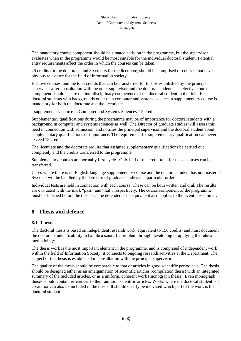The mandatory course component should be situated early on in the programme, but the supervisor evaluates when in the programme would be most suitable for the individual doctoral student. Potential entry requirements affect the order in which the courses can be taken.

45 credits for the doctorate, and 30 credits for the licentiate, should be comprised of courses that have obvious relevance for the field of information society.

Elective courses, and the total credits that can be transferred for this, is established by the principal supervisor after consultation with the other supervisor and the doctoral student. The elective course component should ensure the interdisciplinary competence of the doctoral student in the field. For doctoral students with backgrounds other than computer and systems science, a supplementary course is mandatory for both the doctorate and the licentiate:

- supplementary course in Computer and Systems Sciences, 15 credits

Supplementary qualifications during the programme may be of importance for doctoral students with a background in computer and systems sciences as well. The Director of graduate studies will assess this need in connection with admission, and notifies the principal supervisor and the doctoral student about supplementary qualifications of importance. The requirement for supplementary qualification can never exceed 15 credits.

The licentiate and the doctorate require that assigned supplementary qualifications be carried out completely and the credits transferred to the programme.

Supplementary courses are normally first-cycle. Only half of the credit total for these courses can be transferred.

Cases where there is no English-language supplementary course and the doctoral student has not mastered Swedish will be handled by the Director of graduate studies in a particular order.

Individual tests are held in connection with each course. These can be both written and oral. The results are evaluated with the mark "pass" and "fail", respectively. The course component of the programme must be finished before the thesis can be defended. The equivalent also applies to the licentiate seminar.

### **8 Thesis and defence**

### **8.1 Thesis**

The doctoral thesis is based on independent research work, equivalent to 150 credits, and must document the doctoral student's ability to handle a scientific problem through developing or applying the relevant methodology.

The thesis work is the most important element in the programme, and is comprised of independent work within the field of Information Society; it connects to ongoing research activities at the Department. The subject of the thesis is established in consultation with the principal supervisor.

The quality of the thesis should be comparable to that of articles in good scientific periodicals. The thesis should be designed either as an amalgamation of scientific articles (compilation thesis) with an integrated summary of the included articles, or as a uniform, coherent work (monograph thesis). Even monograph theses should contain references to their authors' scientific articles. Works where the doctoral student is a co-author can also be included in the thesis. It should clearly be indicated which part of the work is the doctoral student's.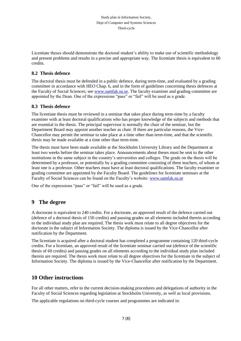Licentiate theses should demonstrate the doctoral student's ability to make use of scientific methodology and present problems and results in a precise and appropriate way. The licentiate thesis is equivalent to 60 credits.

### **8.2 Thesis defence**

The doctoral thesis must be defended in a public defence, during term-time, and evaluated by a grading committee in accordance with HEO Chap. 6, and in the form of guidelines concerning thesis defences at the Faculty of Social Sciences; see [www.samfak.su.se.](http://www.samfak.su.se/) The faculty examiner and grading committee are appointed by the Dean. One of the expressions "pass" or "fail" will be used as a grade.

### **8.3 Thesis defence**

The licentiate thesis must be reviewed in a seminar that takes place during term-time by a faculty examiner with at least doctoral qualifications who has proper knowledge of the subjects and methods that are essential to the thesis. The principal supervisor is normally the chair of the seminar, but the Department Board may appoint another teacher as chair. If there are particular reasons, the Vice-Chancellor may permit the seminar to take place at a time other than term-time, and that the scientific thesis may be made available at a time other than term-time.

The thesis must have been made available at the Stockholm University Library and the Department at least two weeks before the seminar takes place. Announcements about theses must be sent to the other institutions in the same subject in the country's universities and colleges. The grade on the thesis will be determined by a professor, or potentially by a grading committee consisting of three teachers, of whom at least one is a professor. Other teachers must have at least doctoral qualifications. The faculty examiner or grading committee are appointed by the Faculty Board. The guidelines for licentiate seminars at the Faculty of Social Sciences can be found on the Faculty's website[: www.samfak.su.se](http://www.samfak.su.se/)

One of the expressions "pass" or "fail" will be used as a grade.

# **9 The degree**

A doctorate is equivalent to 240 credits. For a doctorate, an approved result of the defence carried out (defence of a doctoral thesis of 150 credits) and passing grades on all elements included therein according to the individual study plan are required. The thesis work must relate to all degree objectives for the doctorate in the subject of Information Society. The diploma is issued by the Vice-Chancellor after notification by the Department.

The licentiate is acquired after a doctoral student has completed a programme containing 120 third-cycle credits. For a licentiate, an approved result of the licentiate seminar carried out (defence of the scientific thesis of 60 credits) and passing grades on all elements according to the individual study plan included therein are required. The thesis work must relate to all degree objectives for the licentiate in the subject of Information Society. The diploma is issued by the Vice-Chancellor after notification by the Department.

### **10 Other instructions**

For all other matters, refer to the current decision-making procedures and delegations of authority in the Faculty of Social Sciences regarding legislation at Stockholm University, as well as local provisions.

The applicable regulations on third-cycle courses and programmes are indicated in: